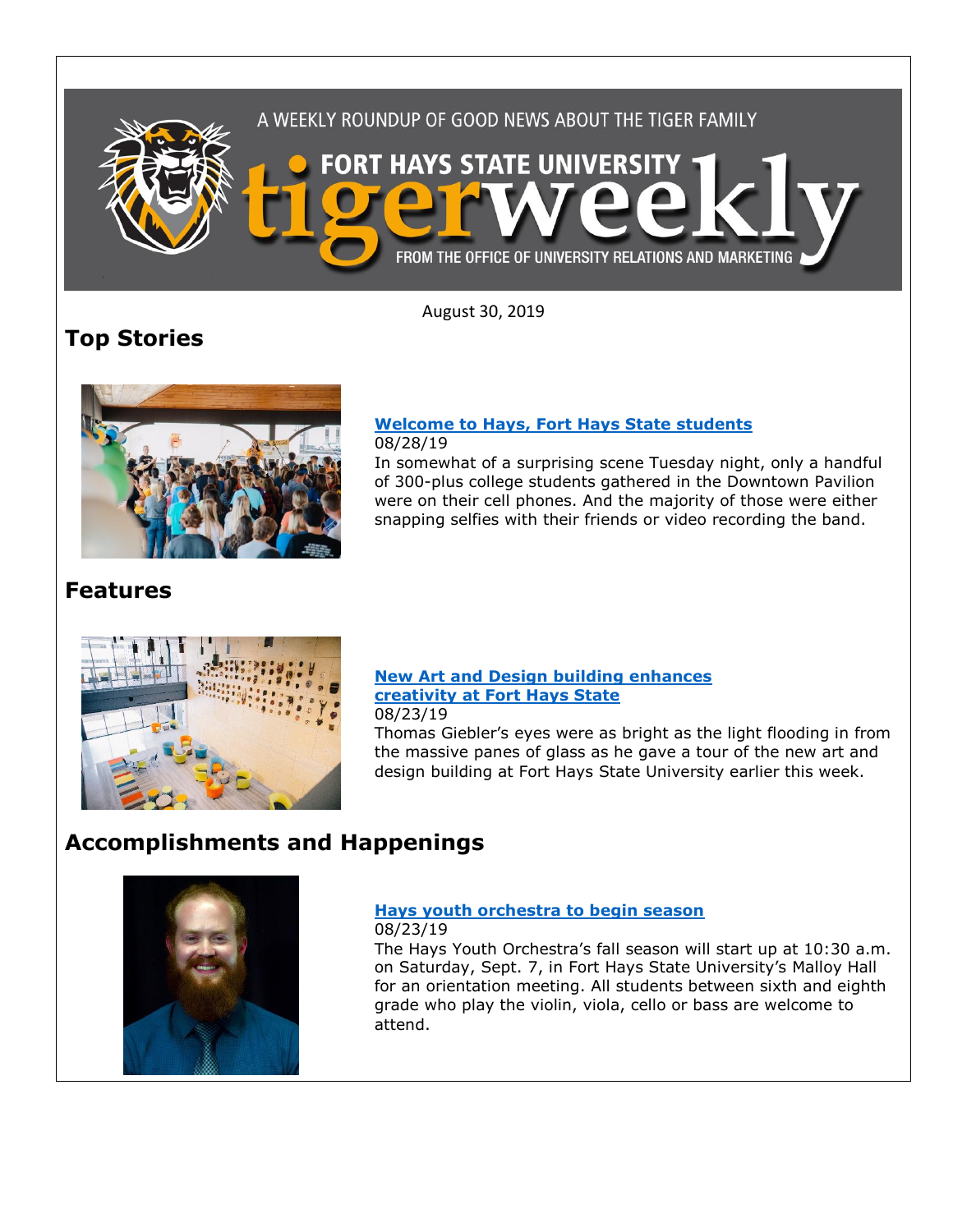

August 30, 2019

# **Top Stories**



#### **[Welcome to Hays, Fort Hays State students](https://www.fhsu.edu/news/2019/08/welcome-to-hays,-fort-hays-state-students)** 08/28/19

In somewhat of a surprising scene Tuesday night, only a handful of 300-plus college students gathered in the Downtown Pavilion were on their cell phones. And the majority of those were either snapping selfies with their friends or video recording the band.

## **Features**



### **[New Art and Design building enhances](https://www.fhsu.edu/news/2019/08/new-art-and-design-building-enhances-creativity-at-fort-hays-state)  [creativity at Fort Hays State](https://www.fhsu.edu/news/2019/08/new-art-and-design-building-enhances-creativity-at-fort-hays-state)** 08/23/19

Thomas Giebler's eyes were as bright as the light flooding in from the massive panes of glass as he gave a tour of the new art and design building at Fort Hays State University earlier this week.

# **Accomplishments and Happenings**



## **[Hays youth orchestra to begin season](https://www.fhsu.edu/news/2019/08/hays-youth-orchestra-to-begin-season)**

08/23/19 The Hays Youth Orchestra's fall season will start up at 10:30 a.m. on Saturday, Sept. 7, in Fort Hays State University's Malloy Hall for an orientation meeting. All students between sixth and eighth grade who play the violin, viola, cello or bass are welcome to attend.